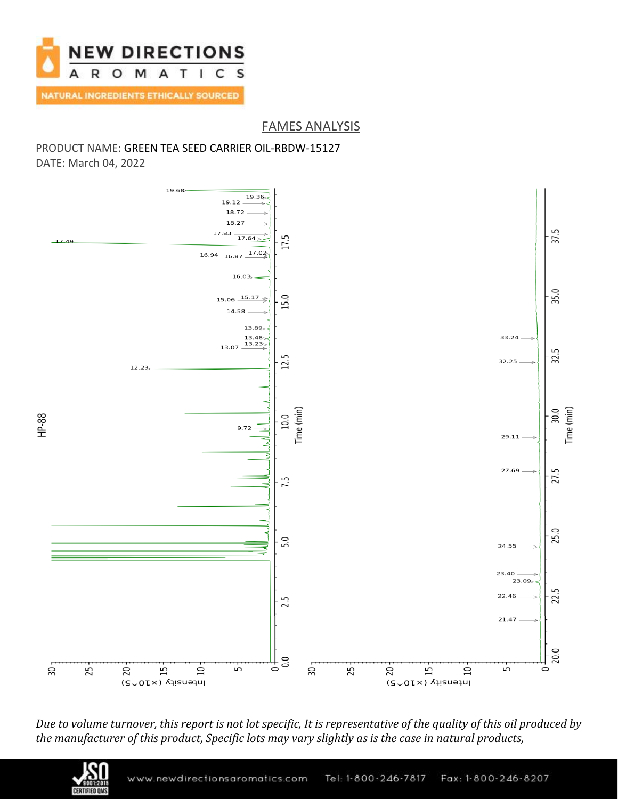

## FAMES ANALYSIS

### PRODUCT NAME: GREEN TEA SEED CARRIER OIL-RBDW-15127 DATE: March 04, 2022



*Due to volume turnover, this report is not lot specific, It is representative of the quality of this oil produced by the manufacturer of this product, Specific lots may vary slightly as is the case in natural products,*